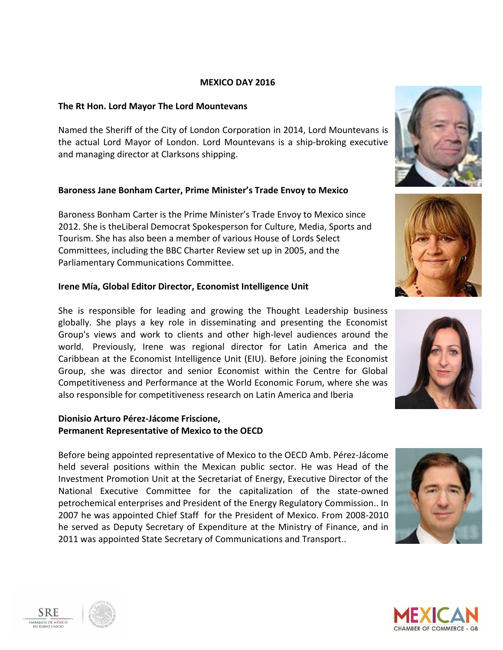#### **MEXICO DAY 2016**

### **The Rt Hon. Lord Mayor The Lord Mountevans**

Named the Sheriff of the City of London Corporation in 2014, Lord Mountevans is the actual Lord Mayor of London. Lord Mountevans is a ship-broking executive and managing director at Clarksons shipping.

### **Baroness Jane Bonham Carter, Prime Minister's Trade Envoy to Mexico**

Baroness Bonham Carter is the Prime Minister's Trade Envoy to Mexico since 2012. She is theLiberal Democrat Spokesperson for Culture, Media, Sports and Tourism. She has also been a member of various House of Lords Select Committees, including the BBC Charter Review set up in 2005, and the Parliamentary Communications Committee.

### **Irene Mía, Global Editor Director, Economist Intelligence Unit**

She is responsible for leading and growing the Thought Leadership business globally. She plays a key role in disseminating and presenting the Economist Group's views and work to clients and other high-level audiences around the world. Previously, Irene was regional director for Latin America and the Caribbean at the Economist Intelligence Unit (EIU). Before joining the Economist Group, she was director and senior Economist within the Centre for Global Competitiveness and Performance at the World Economic Forum, where she was also responsible for competitiveness research on Latin America and Iberia

### **Dionisio Arturo Pérez-Jácome Friscione, Permanent Representative of Mexico to the OECD**

Before being appointed representative of Mexico to the OECD Amb. Pérez-Jácome held several positions within the Mexican public sector. He was Head of the Investment Promotion Unit at the Secretariat of Energy, Executive Director of the National Executive Committee for the capitalization of the state-owned petrochemical enterprises and President of the Energy Regulatory Commission.. In 2007 he was appointed Chief Staff for the President of Mexico. From 2008-2010 he served as Deputy Secretary of Expenditure at the Ministry of Finance, and in 2011 was appointed State Secretary of Communications and Transport..













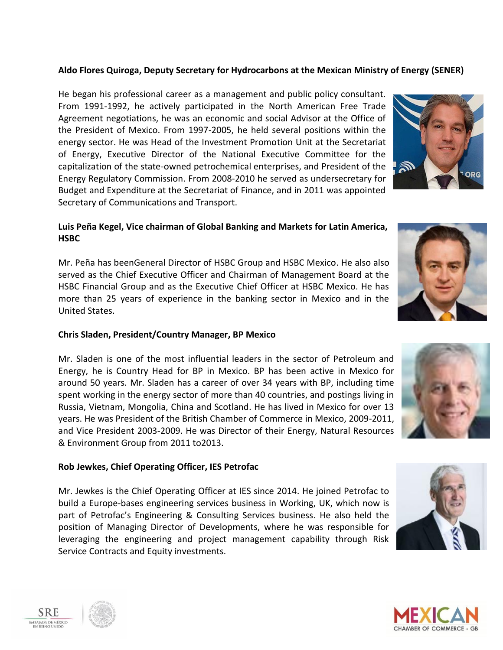# **Aldo Flores Quiroga, Deputy Secretary for Hydrocarbons at the Mexican Ministry of Energy (SENER)**

He began his professional career as a management and public policy consultant. From 1991-1992, he actively participated in the North American Free Trade Agreement negotiations, he was an economic and social Advisor at the Office of the President of Mexico. From 1997-2005, he held several positions within the energy sector. He was Head of the Investment Promotion Unit at the Secretariat of Energy, Executive Director of the National Executive Committee for the capitalization of the state-owned petrochemical enterprises, and President of the Energy Regulatory Commission. From 2008-2010 he served as undersecretary for Budget and Expenditure at the Secretariat of Finance, and in 2011 was appointed Secretary of Communications and Transport.

# **Luis Peña Kegel, Vice chairman of Global Banking and Markets for Latin America, HSBC**

Mr. Peña has beenGeneral Director of HSBC Group and HSBC Mexico. He also also served as the Chief Executive Officer and Chairman of Management Board at the HSBC Financial Group and as the Executive Chief Officer at HSBC Mexico. He has more than 25 years of experience in the banking sector in Mexico and in the United States.

#### **Chris Sladen, President/Country Manager, BP Mexico**

Mr. Sladen is one of the most influential leaders in the sector of Petroleum and Energy, he is Country Head for BP in Mexico. BP has been active in Mexico for around 50 years. Mr. Sladen has a career of over 34 years with BP, including time spent working in the energy sector of more than 40 countries, and postings living in Russia, Vietnam, Mongolia, China and Scotland. He has lived in Mexico for over 13 years. He was President of the British Chamber of Commerce in Mexico, 2009-2011, and Vice President 2003-2009. He was Director of their Energy, Natural Resources & Environment Group from 2011 to2013.

### **Rob Jewkes, Chief Operating Officer, IES Petrofac**

Mr. Jewkes is the Chief Operating Officer at IES since 2014. He joined Petrofac to build a Europe-bases engineering services business in Working, UK, which now is part of Petrofac's Engineering & Consulting Services business. He also held the position of Managing Director of Developments, where he was responsible for leveraging the engineering and project management capability through Risk Service Contracts and Equity investments.











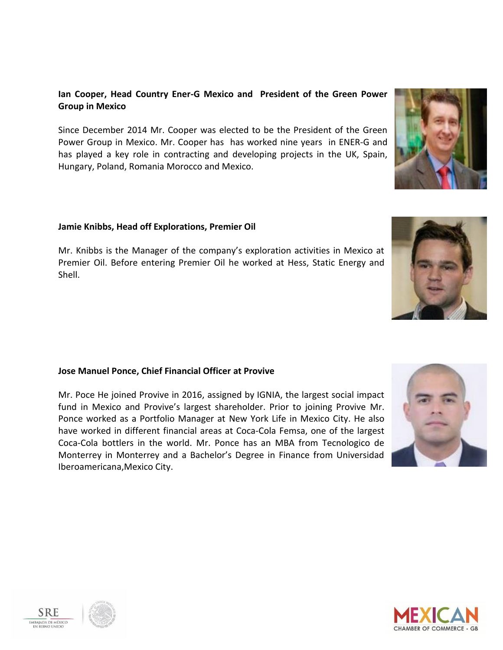# **Ian Cooper, Head Country Ener-G Mexico and President of the Green Power Group in Mexico**

Since December 2014 Mr. Cooper was elected to be the President of the Green Power Group in Mexico. Mr. Cooper has has worked nine years in ENER-G and has played a key role in contracting and developing projects in the UK, Spain, Hungary, Poland, Romania Morocco and Mexico.

### **Jamie Knibbs, Head off Explorations, Premier Oil**

Mr. Knibbs is the Manager of the company's exploration activities in Mexico at Premier Oil. Before entering Premier Oil he worked at Hess, Static Energy and Shell.

### **Jose Manuel Ponce, Chief Financial Officer at Provive**

Mr. Poce He joined Provive in 2016, assigned by IGNIA, the largest social impact fund in Mexico and Provive's largest shareholder. Prior to joining Provive Mr. Ponce worked as a Portfolio Manager at New York Life in Mexico City. He also have worked in different financial areas at Coca-Cola Femsa, one of the largest Coca-Cola bottlers in the world. Mr. Ponce has an MBA from Tecnologico de Monterrey in Monterrey and a Bachelor's Degree in Finance from Universidad Iberoamericana,Mexico City.













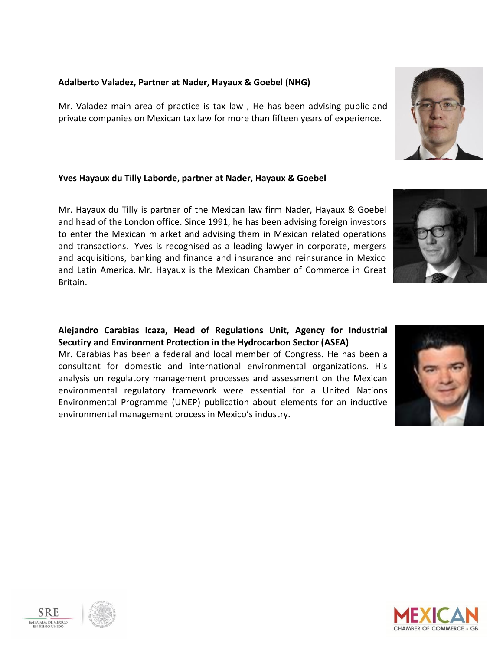#### **Adalberto Valadez, Partner at Nader, Hayaux & Goebel (NHG)**

Mr. Valadez main area of practice is tax law , He has been advising public and private companies on Mexican tax law for more than fifteen years of experience.

# **Yves Hayaux du Tilly Laborde, partner at Nader, Hayaux & Goebel**

Mr. Hayaux du Tilly is partner of the Mexican law firm Nader, Hayaux & Goebel and head of the London office. Since 1991, he has been advising foreign investors to enter the Mexican m arket and advising them in Mexican related operations and transactions. Yves is recognised as a leading lawyer in corporate, mergers and acquisitions, banking and finance and insurance and reinsurance in Mexico and Latin America. Mr. Hayaux is the Mexican Chamber of Commerce in Great Britain.

# **Alejandro Carabias Icaza, Head of Regulations Unit, Agency for Industrial Secutiry and Environment Protection in the Hydrocarbon Sector (ASEA)**

Mr. Carabias has been a federal and local member of Congress. He has been a consultant for domestic and international environmental organizations. His analysis on regulatory management processes and assessment on the Mexican environmental regulatory framework were essential for a United Nations Environmental Programme (UNEP) publication about elements for an inductive environmental management process in Mexico's industry.